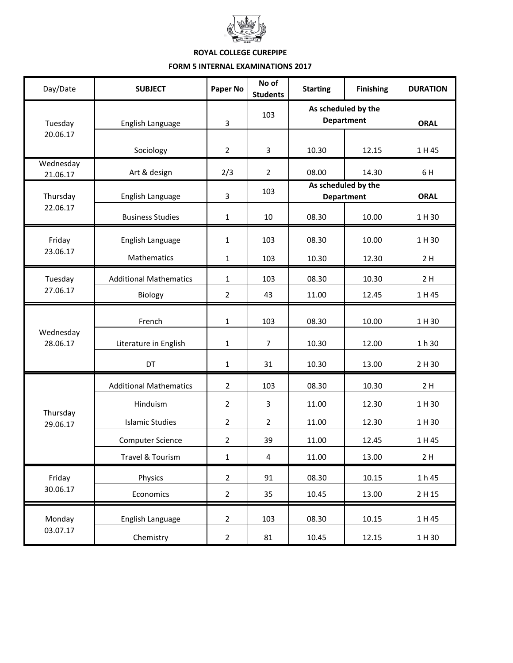

## **ROYAL COLLEGE CUREPIPE FORM 5 INTERNAL EXAMINATIONS 2017**

| Day/Date              | <b>SUBJECT</b>                | Paper No       | No of<br><b>Students</b> | <b>Starting</b>                          | <b>Finishing</b> | <b>DURATION</b> |
|-----------------------|-------------------------------|----------------|--------------------------|------------------------------------------|------------------|-----------------|
| Tuesday<br>20.06.17   | English Language              | 3              | 103                      | As scheduled by the<br><b>Department</b> |                  | <b>ORAL</b>     |
|                       | Sociology                     | $\overline{2}$ | 3                        | 10.30                                    | 12.15            | 1 H 45          |
| Wednesday<br>21.06.17 | Art & design                  | 2/3            | $\overline{2}$           | 08.00                                    | 14.30            | 6 H             |
| Thursday<br>22.06.17  | English Language              | 3              | 103                      | As scheduled by the<br><b>Department</b> |                  | <b>ORAL</b>     |
|                       | <b>Business Studies</b>       | $\mathbf{1}$   | 10                       | 08.30                                    | 10.00            | 1 H 30          |
| Friday<br>23.06.17    | English Language              | $\mathbf 1$    | 103                      | 08.30                                    | 10.00            | 1 H 30          |
|                       | Mathematics                   | 1              | 103                      | 10.30                                    | 12.30            | 2H              |
| Tuesday               | <b>Additional Mathematics</b> | $\mathbf{1}$   | 103                      | 08.30                                    | 10.30            | 2H              |
| 27.06.17              | Biology                       | $\overline{2}$ | 43                       | 11.00                                    | 12.45            | 1 H 45          |
| Wednesday<br>28.06.17 | French                        | $\mathbf{1}$   | 103                      | 08.30                                    | 10.00            | 1 H 30          |
|                       | Literature in English         | $\mathbf{1}$   | 7                        | 10.30                                    | 12.00            | 1 h 30          |
|                       | DT                            | 1              | 31                       | 10.30                                    | 13.00            | 2 H 30          |
| Thursday<br>29.06.17  | <b>Additional Mathematics</b> | $\overline{2}$ | 103                      | 08.30                                    | 10.30            | 2H              |
|                       | Hinduism                      | $\overline{2}$ | 3                        | 11.00                                    | 12.30            | 1 H 30          |
|                       | <b>Islamic Studies</b>        | $\overline{2}$ | 2                        | 11.00                                    | 12.30            | 1 H 30          |
|                       | <b>Computer Science</b>       | $\overline{2}$ | 39                       | 11.00                                    | 12.45            | 1 H 45          |
|                       | Travel & Tourism              | $\mathbf 1$    | $\overline{\mathbf{4}}$  | 11.00                                    | 13.00            | 2H              |
| Friday<br>30.06.17    | Physics                       | $\overline{2}$ | 91                       | 08.30                                    | 10.15            | 1 h 45          |
|                       | Economics                     | $\overline{2}$ | 35                       | 10.45                                    | 13.00            | 2 H 15          |
| Monday<br>03.07.17    | English Language              | $\overline{2}$ | 103                      | 08.30                                    | 10.15            | 1 H 45          |
|                       | Chemistry                     | $\overline{2}$ | 81                       | 10.45                                    | 12.15            | 1 H 30          |